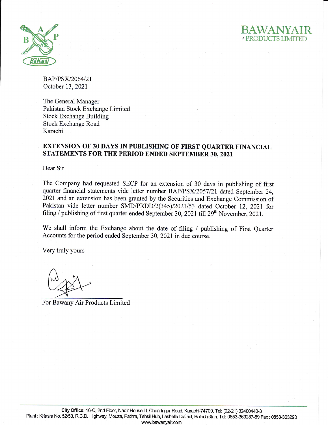



BAP/PSX/2064/21 October 13,2021

The General Manager Pakistan Stock Exchange Limited Stock Exchange Building Stock Exchange Road Karachi

## EXTENSION OF 30 DAYS IN PUBLISHING OF FIRST QUARTER FINANCIAL STATEMENTS FOR THE PERIOD ENDED SEPTEMBER 30,2021

Dear Sir

The Company had requested SECP for an extension of 30 days in publishing of first quarter financial statements vide letter number BAP/PSX/2057/21 dated September 24, 2021 and an extension has been granted by the Securities and Exchange Commission of Pakistan vide letter number SMD/PRDD/2(345)/2021/53 dated October 12, 2021 for filing / publishing of first quarter ended September 30, 2021 till  $29<sup>th</sup>$  November, 2021.

We shall inform the Exchange about the date of filing / publishing of First Quarter Accounts for the period ended September 30, 2021 in due course.

Very truly yours

t

For Bawany Air Products Limited